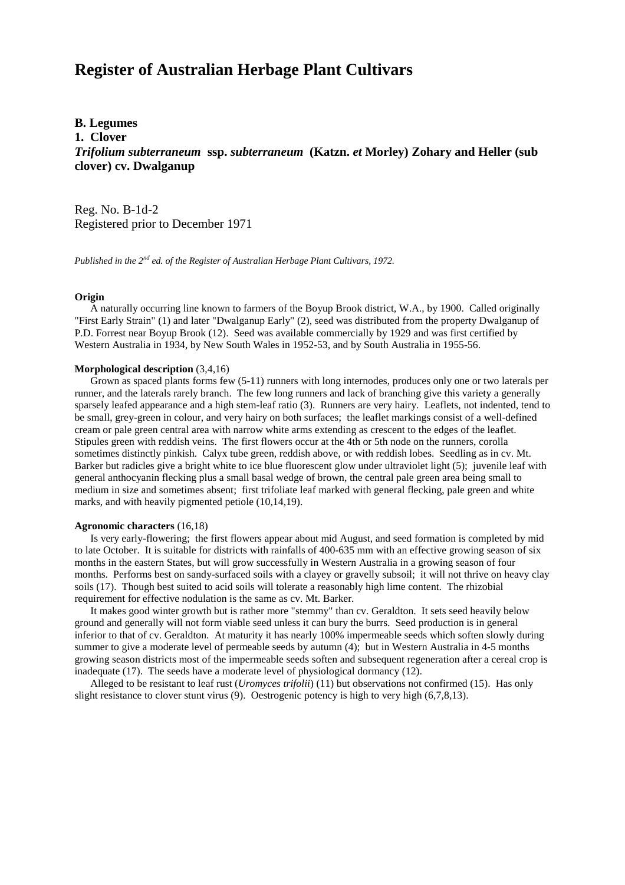# **Register of Australian Herbage Plant Cultivars**

# **B. Legumes**

**1. Clover**

*Trifolium subterraneum* **ssp.** *subterraneum* **(Katzn.** *et* **Morley) Zohary and Heller (sub clover) cv. Dwalganup**

Reg. No. B-1d-2 Registered prior to December 1971

*Published in the 2nd ed. of the Register of Australian Herbage Plant Cultivars, 1972.*

## **Origin**

 A naturally occurring line known to farmers of the Boyup Brook district, W.A., by 1900. Called originally "First Early Strain" (1) and later "Dwalganup Early" (2), seed was distributed from the property Dwalganup of P.D. Forrest near Boyup Brook (12). Seed was available commercially by 1929 and was first certified by Western Australia in 1934, by New South Wales in 1952-53, and by South Australia in 1955-56.

#### **Morphological description** (3,4,16)

 Grown as spaced plants forms few (5-11) runners with long internodes, produces only one or two laterals per runner, and the laterals rarely branch. The few long runners and lack of branching give this variety a generally sparsely leafed appearance and a high stem-leaf ratio (3). Runners are very hairy. Leaflets, not indented, tend to be small, grey-green in colour, and very hairy on both surfaces; the leaflet markings consist of a well-defined cream or pale green central area with narrow white arms extending as crescent to the edges of the leaflet. Stipules green with reddish veins. The first flowers occur at the 4th or 5th node on the runners, corolla sometimes distinctly pinkish. Calyx tube green, reddish above, or with reddish lobes. Seedling as in cv. Mt. Barker but radicles give a bright white to ice blue fluorescent glow under ultraviolet light (5); juvenile leaf with general anthocyanin flecking plus a small basal wedge of brown, the central pale green area being small to medium in size and sometimes absent; first trifoliate leaf marked with general flecking, pale green and white marks, and with heavily pigmented petiole (10,14,19).

## **Agronomic characters** (16,18)

 Is very early-flowering; the first flowers appear about mid August, and seed formation is completed by mid to late October. It is suitable for districts with rainfalls of 400-635 mm with an effective growing season of six months in the eastern States, but will grow successfully in Western Australia in a growing season of four months. Performs best on sandy-surfaced soils with a clayey or gravelly subsoil; it will not thrive on heavy clay soils (17). Though best suited to acid soils will tolerate a reasonably high lime content. The rhizobial requirement for effective nodulation is the same as cv. Mt. Barker.

 It makes good winter growth but is rather more "stemmy" than cv. Geraldton. It sets seed heavily below ground and generally will not form viable seed unless it can bury the burrs. Seed production is in general inferior to that of cv. Geraldton. At maturity it has nearly 100% impermeable seeds which soften slowly during summer to give a moderate level of permeable seeds by autumn (4); but in Western Australia in 4-5 months growing season districts most of the impermeable seeds soften and subsequent regeneration after a cereal crop is inadequate (17). The seeds have a moderate level of physiological dormancy (12).

 Alleged to be resistant to leaf rust (*Uromyces trifolii*) (11) but observations not confirmed (15). Has only slight resistance to clover stunt virus (9). Oestrogenic potency is high to very high (6,7,8,13).